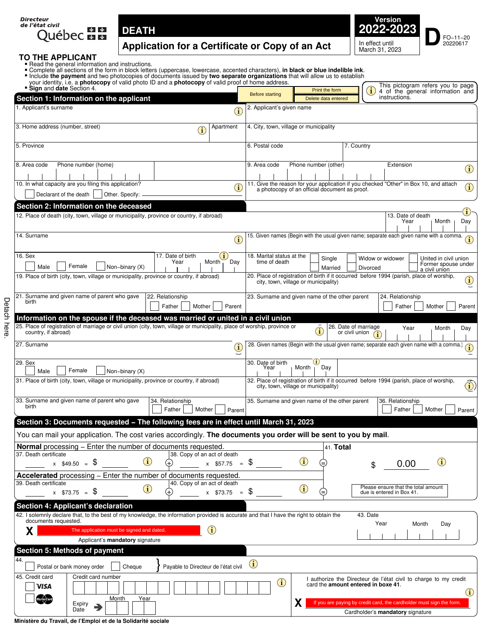| Directeur<br>de l'état civil |                                                                                                                                                                                                                                                                                                                     |  |
|------------------------------|---------------------------------------------------------------------------------------------------------------------------------------------------------------------------------------------------------------------------------------------------------------------------------------------------------------------|--|
|                              | $\frac{1}{2}$ $\frac{1}{2}$ $\frac{1}{2}$ $\frac{1}{2}$ $\frac{1}{2}$ $\frac{1}{2}$ $\frac{1}{2}$ $\frac{1}{2}$ $\frac{1}{2}$ $\frac{1}{2}$ $\frac{1}{2}$ $\frac{1}{2}$ $\frac{1}{2}$ $\frac{1}{2}$ $\frac{1}{2}$ $\frac{1}{2}$ $\frac{1}{2}$ $\frac{1}{2}$ $\frac{1}{2}$ $\frac{1}{2}$ $\frac{1}{2}$ $\frac{1}{2}$ |  |
| Ouébec <b>mm</b>             |                                                                                                                                                                                                                                                                                                                     |  |



# **TO THE APPLICANT**<br>**Example 1** Read the general informance of the Complete all sections of the payment and

Detach here.

Detach here.

- 
- Read the general information and instructions.<br>Complete all sections of the form in block letters (uppercase, lowercase, accented characters), in black or blue indelible ink.<br>Include the payment and two photocopies of docu
- 
- 

| " Include the payment and two photocopies of documents issued by two separate organizations that will allow us to establish<br>your identity, i.e. a <b>photocopy</b> of valid photo ID and a <b>photocopy</b> of valid proof of home address.<br>Sign and date Section 4. |                              |                                            | Print the form                                                                | This pictogram refers you to page<br>4 of the general information and                                                 |
|----------------------------------------------------------------------------------------------------------------------------------------------------------------------------------------------------------------------------------------------------------------------------|------------------------------|--------------------------------------------|-------------------------------------------------------------------------------|-----------------------------------------------------------------------------------------------------------------------|
| Section 1: Information on the applicant                                                                                                                                                                                                                                    |                              | <b>Before starting</b>                     | Delete data entered                                                           | instructions.                                                                                                         |
| 1. Applicant's surname                                                                                                                                                                                                                                                     | $\left( \mathbf{i}\right)$   | 2. Applicant's given name                  |                                                                               |                                                                                                                       |
|                                                                                                                                                                                                                                                                            |                              |                                            |                                                                               |                                                                                                                       |
| 3. Home address (number, street)<br>$\bf (\hat{i})$                                                                                                                                                                                                                        | Apartment                    | 4. City, town, village or municipality     |                                                                               |                                                                                                                       |
| 5. Province                                                                                                                                                                                                                                                                |                              | 6. Postal code                             | 7. Country                                                                    |                                                                                                                       |
|                                                                                                                                                                                                                                                                            |                              |                                            |                                                                               |                                                                                                                       |
| Phone number (home)<br>8. Area code                                                                                                                                                                                                                                        |                              | 9. Area code                               | Phone number (other)                                                          | Extension<br>$\bigcirc$                                                                                               |
| 10. In what capacity are you filing this application?                                                                                                                                                                                                                      |                              |                                            |                                                                               | 11. Give the reason for your application if you checked "Other" in Box 10, and attach                                 |
| Declarant of the death<br>Other. Specify:                                                                                                                                                                                                                                  | $\bf (\hat{i})$              |                                            | a photocopy of an official document as proof.                                 | $\bf(i)$                                                                                                              |
| Section 2: Information on the deceased                                                                                                                                                                                                                                     |                              |                                            |                                                                               |                                                                                                                       |
| 12. Place of death (city, town, village or municipality, province or country, if abroad)                                                                                                                                                                                   |                              |                                            |                                                                               | $\mathbf{i}$ )<br>13. Date of death                                                                                   |
|                                                                                                                                                                                                                                                                            |                              |                                            |                                                                               | Year<br>Month<br>Day                                                                                                  |
| 14. Surname                                                                                                                                                                                                                                                                | $\bf(i)$                     |                                            |                                                                               | 15. Given names (Begin with the usual given name; separate each given name with a comma.                              |
|                                                                                                                                                                                                                                                                            |                              |                                            |                                                                               |                                                                                                                       |
| 16. Sex<br>17. Date of birth<br>Year<br>Female                                                                                                                                                                                                                             | $\mathbf{1}$<br>Month<br>Day | 18. Marital status at the<br>time of death | Single                                                                        | Widow or widower<br>United in civil union<br>Former spouse under                                                      |
| Non-binary (X)<br>Male<br>19. Place of birth (city, town, village or municipality, province or country, if abroad)                                                                                                                                                         |                              |                                            | Married                                                                       | Divorced<br>a civil union<br>20. Place of registration of birth if it occurred before 1994 (parish, place of worship, |
|                                                                                                                                                                                                                                                                            |                              |                                            | city, town, village or municipality)                                          | $\mathbf{(i)}$                                                                                                        |
| 21. Surname and given name of parent who gave<br>22. Relationship                                                                                                                                                                                                          |                              |                                            | 23. Surname and given name of the other parent                                | 24. Relationship                                                                                                      |
| birth<br>Father<br>Mother                                                                                                                                                                                                                                                  | Parent                       |                                            |                                                                               | Parent<br>Father<br>Mother                                                                                            |
| Information on the spouse if the deceased was married or united in a civil union                                                                                                                                                                                           |                              |                                            |                                                                               |                                                                                                                       |
| 25. Place of registration of marriage or civil union (city, town, village or municipality, place of worship, province or<br>country, if abroad)                                                                                                                            |                              |                                            | 26. Date of marriage<br>$\left(\widehat{\mathbf{i}}\right)$<br>or civil union | Year<br>Month<br>Day                                                                                                  |
| 27. Surname                                                                                                                                                                                                                                                                |                              |                                            |                                                                               | 28. Given names (Begin with the usual given name; separate each given name with a comma.)                             |
|                                                                                                                                                                                                                                                                            | $\bf (i)$                    |                                            |                                                                               | (i)                                                                                                                   |
| 29. Sex<br>Female<br>Male<br>Non-binary (X)                                                                                                                                                                                                                                |                              | 30. Date of birth<br>Year                  | $\mathbf{u}$<br>Day<br>Month                                                  |                                                                                                                       |
| 31. Place of birth (city, town, village or municipality, province or country, if abroad)                                                                                                                                                                                   |                              |                                            |                                                                               | 32. Place of registration of birth if it occurred before 1994 (parish, place of worship,                              |
|                                                                                                                                                                                                                                                                            |                              |                                            | city, town, village or municipality)                                          | $\ddot{\textbf{b}}$                                                                                                   |
| 33. Surname and given name of parent who gave<br>34. Relationship                                                                                                                                                                                                          |                              |                                            | 35. Surname and given name of the other parent                                | 36. Relationship                                                                                                      |
| birth<br>Father<br>Mother                                                                                                                                                                                                                                                  | Parent                       |                                            |                                                                               | Father<br>Mother<br>Parent                                                                                            |
| Section 3: Documents requested - The following fees are in effect until March 31, 2023                                                                                                                                                                                     |                              |                                            |                                                                               |                                                                                                                       |
| You can mail your application. The cost varies accordingly. The documents you order will be sent to you by mail.                                                                                                                                                           |                              |                                            |                                                                               |                                                                                                                       |
| Normal processing - Enter the number of documents requested.                                                                                                                                                                                                               |                              |                                            | 41. Total                                                                     |                                                                                                                       |
| 38. Copy of an act of death<br>37. Death certificate<br>(i)<br>$x$ \$49.50 = \$                                                                                                                                                                                            | $x$ \$57.75 = \$             |                                            | $\mathbf{\hat{i}}$<br>(=                                                      | $\bf(i)$<br>0.00<br>\$                                                                                                |
| Accelerated processing - Enter the number of documents requested.                                                                                                                                                                                                          |                              |                                            |                                                                               |                                                                                                                       |
| 40. Copy of an act of death<br>39. Death certificate                                                                                                                                                                                                                       |                              |                                            |                                                                               | Please ensure that the total amount                                                                                   |
| $\bf(i)$<br>$x$ \$73.75 = \$                                                                                                                                                                                                                                               | $x$ \$73.75 = \$             |                                            | $\mathbf{\hat{i}}$<br>∈                                                       | due is entered in Box 41.                                                                                             |
| <b>Section 4: Applicant's declaration</b>                                                                                                                                                                                                                                  |                              |                                            |                                                                               |                                                                                                                       |
| 42. I solemnly declare that, to the best of my knowledge, the information provided is accurate and that I have the right to obtain the<br>documents requested.                                                                                                             |                              |                                            |                                                                               | 43. Date                                                                                                              |
| The application must be signed and dated.<br>Χ                                                                                                                                                                                                                             | $\bf(i)$                     |                                            |                                                                               | Year<br>Month<br>Day                                                                                                  |
| Applicant's mandatory signature                                                                                                                                                                                                                                            |                              |                                            |                                                                               |                                                                                                                       |
| Section 5: Methods of payment                                                                                                                                                                                                                                              |                              |                                            |                                                                               |                                                                                                                       |
| 44.<br>Postal or bank money order<br>Cheque<br>Payable to Directeur de l'état civil                                                                                                                                                                                        |                              | $\mathbf{I}$                               |                                                                               |                                                                                                                       |
| 45. Credit card<br>Credit card number                                                                                                                                                                                                                                      |                              |                                            |                                                                               | I authorize the Directeur de l'état civil to charge to my credit                                                      |
| VISA                                                                                                                                                                                                                                                                       |                              | $\bf (i)$                                  | card the amount entered in boxe 41.                                           |                                                                                                                       |
| Year<br>Month                                                                                                                                                                                                                                                              |                              |                                            | X.                                                                            | $\bf(i)$<br>If you are paying by credit card, the cardholder must sign the form.                                      |
| Expiry<br>Date<br>D                                                                                                                                                                                                                                                        |                              |                                            |                                                                               | Cardholder's mandatory signature                                                                                      |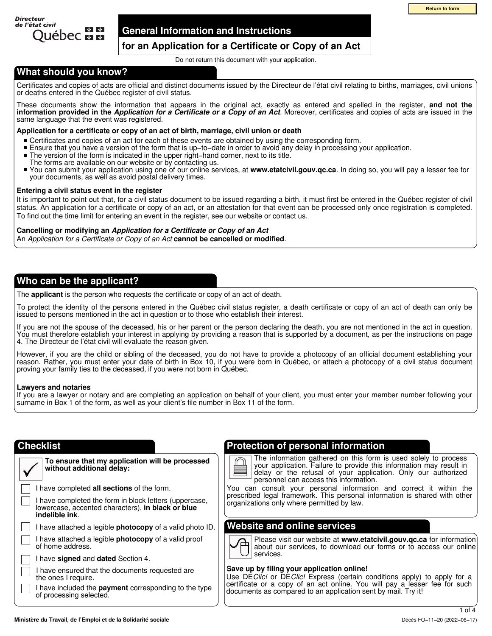

## **General Information and Instructions**

## **for an Application for a Certificate or Copy of an Act**

Do not return this document with your application.

## **What should you know?**

Certificates and copies of acts are official and distinct documents issued by the Directeur de l'état civil relating to births, marriages, civil unions or deaths entered in the Québec register of civil status.

These documents show the information that appears in the original act, exactly as entered and spelled in the register, **and not the information provided in the** *Application for a Certificate or a Copy of an Act*. Moreover, certificates and copies of acts are issued in the same language that the event was registered.

## **Application for a certificate or copy of an act of birth, marriage, civil union or death**

- Certificates and copies of an act for each of these events are obtained by using the corresponding form.
- $\blacksquare$ Ensure that you have a version of the form that is up−to−date in order to avoid any delay in processing your application.
- The version of the form is indicated in the upper right−hand corner, next to its title.  $\blacksquare$
- The forms are available on our website or by contacting us.
- $\blacksquare$ You can submit your application using one of our online services, at **www.etatcivil.gouv.qc.ca**. In doing so, you will pay a lesser fee for your documents, as well as avoid postal delivery times.

## **Entering a civil status event in the register**

It is important to point out that, for a civil status document to be issued regarding a birth, it must first be entered in the Québec register of civil status. An application for a certificate or copy of an act, or an attestation for that event can be processed only once registration is completed. To find out the time limit for entering an event in the register, see our website or contact us.

## **Cancelling or modifying an** *Application for a Certificate or Copy of an Act*

An *Application for a Certificate or Copy of an Act* **cannot be cancelled or modified**.

## **Who can be the applicant?**

The **applicant** is the person who requests the certificate or copy of an act of death.

To protect the identity of the persons entered in the Québec civil status register, a death certificate or copy of an act of death can only be issued to persons mentioned in the act in question or to those who establish their interest.

If you are not the spouse of the deceased, his or her parent or the person declaring the death, you are not mentioned in the act in question. You must therefore establish your interest in applying by providing a reason that is supported by a document, as per the instructions on page 4. The Directeur de l'état civil will evaluate the reason given.

However, if you are the child or sibling of the deceased, you do not have to provide a photocopy of an official document establishing your reason. Rather, you must enter your date of birth in Box 10, if you were born in Québec, or attach a photocopy of a civil status document proving your family ties to the deceased, if you were not born in Québec.

## **Lawyers and notaries**

**indelible ink**.

If you are a lawyer or notary and are completing an application on behalf of your client, you must enter your member number following your surname in Box 1 of the form, as well as your client's file number in Box 11 of the form.

## **Checklist**

| To ensure that my application will be processed<br>without additional delay: |
|------------------------------------------------------------------------------|
| I have completed all sections of the form.                                   |

I have completed the form in block letters (uppercase, lowercase, accented characters), **in black or blue** 

I have attached a legible **photocopy** of a valid photo ID.

I have attached a legible **photocopy** of a valid proof of home address.

I have **signed** and **dated** Section 4.

I have ensured that the documents requested are the ones I require.

I have included the **payment** corresponding to the type of processing selected.

## **Protection of personal information**

The information gathered on this form is used solely to process your application. Failure to provide this information may result in delay or the refusal of your application. Only our authorized personnel can access this information. **CONSECTED ASSEMATE AND AND THE CONSECTED ASSEMATE CONSECTED AND THE CONSECTED AND THE CONSECTED AND THE CONSECTED AND THE CONSECTED AND THE CONSECTED AND THE CONSECTED AND THE CONSECTED AND THE CONSECTED AND ARREST CONSEC** 

You can consult your personal information and correct it within the prescribed legal framework. This personal information is shared with other organizations only where permitted by law.

## **Website and online services**

Please visit our website at **www.etatcivil.gouv.qc.ca** for information about our services, to download our forms or to access our online services.

## **Save up by filing your application online!**

Use DE*Clic!* or DE*Clic!* Express (certain conditions apply) to apply for a certificate or a copy of an act online. You will pay a lesser fee for such documents as compared to an application sent by mail. Try it!

1 of 4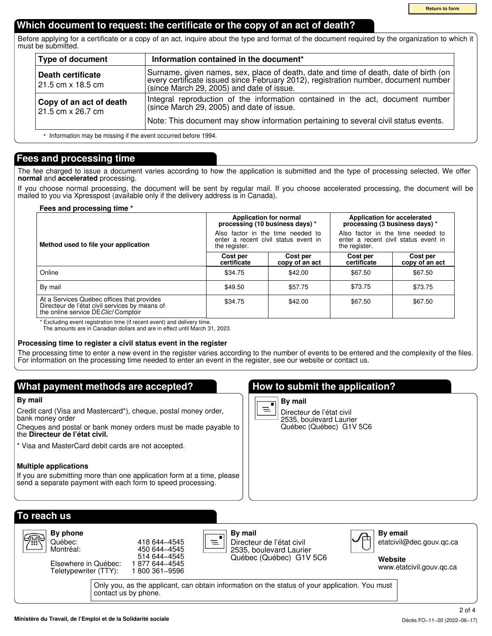## **Which document to request: the certificate or the copy of an act of death?**

Before applying for a certificate or a copy of an act, inquire about the type and format of the document required by the organization to which it must be submitted.

| <b>Type of document</b>                                        | Information contained in the document*                                                                                                                                                                                   |
|----------------------------------------------------------------|--------------------------------------------------------------------------------------------------------------------------------------------------------------------------------------------------------------------------|
| Death certificate<br>21.5 cm x 18.5 cm                         | Surname, given names, sex, place of death, date and time of death, date of birth (on<br>every certificate issued since February 2012), registration number, document number<br>(since March 29, 2005) and date of issue. |
| Copy of an act of death<br>21.5 cm x 26.7 cm                   | Integral reproduction of the information contained in the act, document number<br>(since March 29, 2005) and date of issue.                                                                                              |
| t Information may be missing if the ovent essurred before 1004 | Note: This document may show information pertaining to several civil status events.                                                                                                                                      |

Information may be missing if the event occurred before 1994. \*

## **Fees and processing time**

The fee charged to issue a document varies according to how the application is submitted and the type of processing selected. We offer **normal** and **accelerated** processing.

If you choose normal processing, the document will be sent by regular mail. If you choose accelerated processing, the document will be mailed to you via Xpresspost (available only if the delivery address is in Canada).

## **Fees and processing time \***

|                                                                                                                                      | Application for normal<br>processing (10 business days) *                                  |                            | Application for accelerated<br>processing (3 business days) *                              |                            |
|--------------------------------------------------------------------------------------------------------------------------------------|--------------------------------------------------------------------------------------------|----------------------------|--------------------------------------------------------------------------------------------|----------------------------|
| Method used to file your application                                                                                                 | Also factor in the time needed to<br>enter a recent civil status event in<br>the register. |                            | Also factor in the time needed to<br>enter a recent civil status event in<br>the register. |                            |
|                                                                                                                                      | Cost per<br>certificate                                                                    | Cost per<br>copy of an act | Cost per<br>certificate                                                                    | Cost per<br>copy of an act |
| Online                                                                                                                               | \$34.75                                                                                    | \$42.00                    | \$67.50                                                                                    | \$67.50                    |
| By mail                                                                                                                              | \$49.50                                                                                    | \$57.75                    | \$73.75                                                                                    | \$73.75                    |
| At a Services Québec offices that provides<br>Directeur de l'état civil services by means of<br>the online service DE Clic! Comptoir | \$34.75                                                                                    | \$42.00                    | \$67.50                                                                                    | \$67.50                    |

\* Excluding event registration time (if recent event) and delivery time. The amounts are in Canadian dollars and are in effect until March 31, 2023.

## **Processing time to register a civil status event in the register**

The processing time to enter a new event in the register varies according to the number of events to be entered and the complexity of the files. For information on the processing time needed to enter an event in the register, see our website or contact us.

## **What payment methods are accepted?**

## **By mail**

Credit card (Visa and Mastercard\*), cheque, postal money order, bank money order

Cheques and postal or bank money orders must be made payable to the **Directeur de l'état civil.**

\* Visa and MasterCard debit cards are not accepted.

## **Multiple applications**

If you are submitting more than one application form at a time, please send a separate payment with each form to speed processing.

## **How to submit the application?**



Directeur de l'état civil 2535, boulevard Laurier Québec (Québec) G1V 5C6

| To reach us                                                                                                            |                                                                                    |                                                                                                        |                                                                                         |  |
|------------------------------------------------------------------------------------------------------------------------|------------------------------------------------------------------------------------|--------------------------------------------------------------------------------------------------------|-----------------------------------------------------------------------------------------|--|
| By phone<br>97<br>Québec:<br>Montréal:<br>Elsewhere in Québec:<br>Teletypewriter (TTY):                                | 418 644 - 4545<br>450 644 - 4545<br>514 644 - 4545<br>877 644–4545<br>800 361-9596 | By mail<br>$\equiv$<br>Directeur de l'état civil<br>2535, boulevard Laurier<br>Québec (Québec) G1V 5C6 | <b>By email</b><br>−<br>etatcivil@dec.gouv.gc.ca<br>Website<br>www.etatcivil.gouv.gc.ca |  |
| Only you, as the applicant, can obtain information on the status of your application. You must<br>contact us by phone. |                                                                                    |                                                                                                        |                                                                                         |  |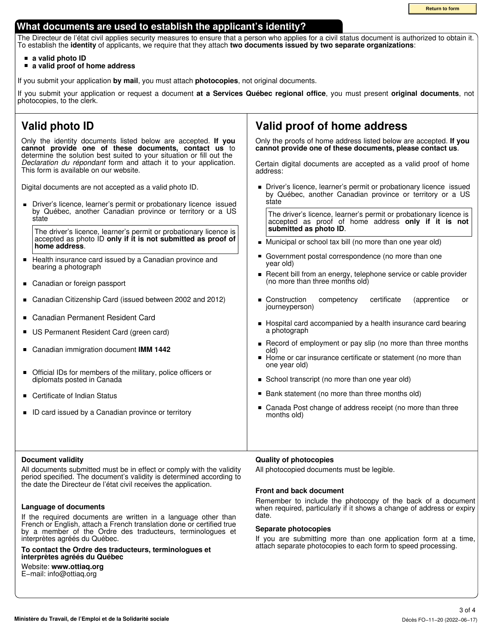**Return to form**

## **What documents are used to establish the applicant's identity?**

The Directeur de l'état civil applies security measures to ensure that a person who applies for a civil status document is authorized to obtain it. To establish the **identity** of applicants, we require that they attach **two documents issued by two separate organizations**:

## **a valid photo ID**

**a valid proof of home address**

If you submit your application **by mail**, you must attach **photocopies**, not original documents.

If you submit your application or request a document **at a Services Québec regional office**, you must present **original documents**, not photocopies, to the clerk.

#### **Valid photo ID Valid proof of home address** Only the identity documents listed below are accepted. **If you** Only the proofs of home address listed below are accepted. **If you cannot provide one of these documents, contact us** to **cannot provide one of these documents, please contact us**. determine the solution best suited to your situation or fill out the *Declaration du répondant* form and attach it to your application. Certain digital documents are accepted as a valid proof of home This form is available on our website. address: Digital documents are not accepted as a valid photo ID. **Driver's licence, learner's permit or probationary licence issued** by Québec, another Canadian province or territory or a US state Driver's licence, learner's permit or probationary licence issued  $\blacksquare$ by Québec, another Canadian province or territory or a US The driver's licence, learner's permit or probationary licence is state accepted as proof of home address **only if it is not submitted as photo ID**. The driver's licence, learner's permit or probationary licence is accepted as photo ID **only if it is not submitted as proof of** Municipal or school tax bill (no more than one year old) **home address**. É Government postal correspondence (no more than one Health insurance card issued by a Canadian province and  $\blacksquare$ year old) bearing a photograph Recent bill from an energy, telephone service or cable provider (no more than three months old) Canadian or foreign passport  $\blacksquare$  $\blacksquare$ Canadian Citizenship Card (issued between 2002 and 2012) Construction competency certificate (apprentice or journeyperson)  $\blacksquare$ Canadian Permanent Resident Card ■ Hospital card accompanied by a health insurance card bearing a photograph US Permanent Resident Card (green card) Record of employment or pay slip (no more than three months  $\blacksquare$ Canadian immigration document **IMM 1442** old) Home or car insurance certificate or statement (no more than one year old)  $\blacksquare$ Official IDs for members of the military, police officers or diplomats posted in Canada School transcript (no more than one year old) ■ Bank statement (no more than three months old) ■ Certificate of Indian Status ■ Canada Post change of address receipt (no more than three ■ ID card issued by a Canadian province or territory months old)

## **Document validity**

All documents submitted must be in effect or comply with the validity period specified. The document's validity is determined according to the date the Directeur de l'état civil receives the application.

## **Language of documents**

If the required documents are written in a language other than French or English, attach a French translation done or certified true by a member of the Ordre des traducteurs, terminologues et interprètes agréés du Québec.

**To contact the Ordre des traducteurs, terminologues et interprètes agréés du Québec**

## Website: **www.ottiaq.org**

E−mail: info@ottiaq.org

## **Quality of photocopies**

All photocopied documents must be legible.

## **Front and back document**

Remember to include the photocopy of the back of a document when required, particularly if it shows a change of address or expiry date.

## **Separate photocopies**

If you are submitting more than one application form at a time, attach separate photocopies to each form to speed processing.